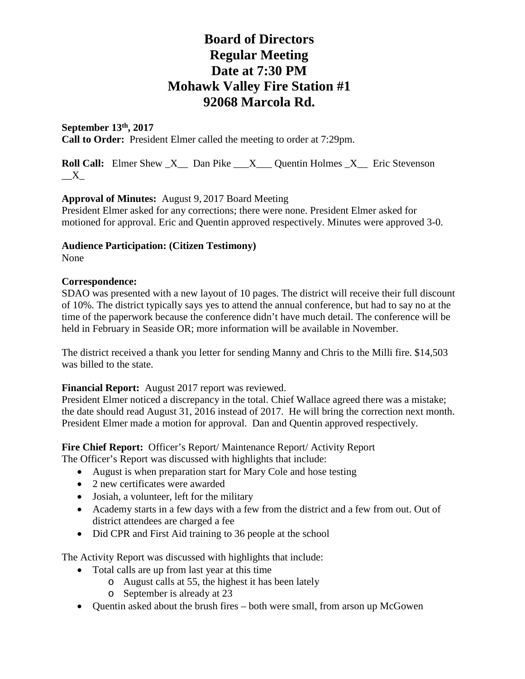## **September 13th, 2017**

**Call to Order:** President Elmer called the meeting to order at 7:29pm.

**Roll Call:** Elmer Shew X Dan Pike X Quentin Holmes X Eric Stevenson  $\_X$ 

### **Approval of Minutes:** August 9, 2017 Board Meeting

President Elmer asked for any corrections; there were none. President Elmer asked for motioned for approval. Eric and Quentin approved respectively. Minutes were approved 3-0.

## **Audience Participation: (Citizen Testimony)**

None

#### **Correspondence:**

SDAO was presented with a new layout of 10 pages. The district will receive their full discount of 10%. The district typically says yes to attend the annual conference, but had to say no at the time of the paperwork because the conference didn't have much detail. The conference will be held in February in Seaside OR; more information will be available in November.

The district received a thank you letter for sending Manny and Chris to the Milli fire. \$14,503 was billed to the state.

### **Financial Report:** August 2017 report was reviewed.

President Elmer noticed a discrepancy in the total. Chief Wallace agreed there was a mistake; the date should read August 31, 2016 instead of 2017. He will bring the correction next month. President Elmer made a motion for approval. Dan and Quentin approved respectively.

Fire Chief Report: Officer's Report/ Maintenance Report/ Activity Report The Officer's Report was discussed with highlights that include:

- August is when preparation start for Mary Cole and hose testing
- 2 new certificates were awarded
- Josiah, a volunteer, left for the military
- Academy starts in a few days with a few from the district and a few from out. Out of district attendees are charged a fee
- Did CPR and First Aid training to 36 people at the school

The Activity Report was discussed with highlights that include:

- Total calls are up from last year at this time
	- o August calls at 55, the highest it has been lately
	- o September is already at 23
- Quentin asked about the brush fires both were small, from arson up McGowen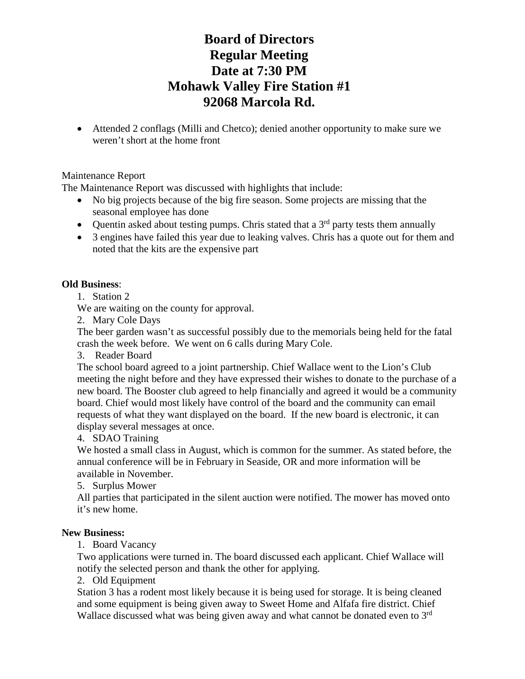• Attended 2 conflags (Milli and Chetco); denied another opportunity to make sure we weren't short at the home front

### Maintenance Report

The Maintenance Report was discussed with highlights that include:

- No big projects because of the big fire season. Some projects are missing that the seasonal employee has done
- Quentin asked about testing pumps. Chris stated that a  $3<sup>rd</sup>$  party tests them annually
- 3 engines have failed this year due to leaking valves. Chris has a quote out for them and noted that the kits are the expensive part

## **Old Business**:

1. Station 2

We are waiting on the county for approval.

2. Mary Cole Days

The beer garden wasn't as successful possibly due to the memorials being held for the fatal crash the week before. We went on 6 calls during Mary Cole.

3. Reader Board

The school board agreed to a joint partnership. Chief Wallace went to the Lion's Club meeting the night before and they have expressed their wishes to donate to the purchase of a new board. The Booster club agreed to help financially and agreed it would be a community board. Chief would most likely have control of the board and the community can email requests of what they want displayed on the board. If the new board is electronic, it can display several messages at once.

### 4. SDAO Training

We hosted a small class in August, which is common for the summer. As stated before, the annual conference will be in February in Seaside, OR and more information will be available in November.

5. Surplus Mower

All parties that participated in the silent auction were notified. The mower has moved onto it's new home.

### **New Business:**

1. Board Vacancy

Two applications were turned in. The board discussed each applicant. Chief Wallace will notify the selected person and thank the other for applying.

### 2. Old Equipment

Station 3 has a rodent most likely because it is being used for storage. It is being cleaned and some equipment is being given away to Sweet Home and Alfafa fire district. Chief Wallace discussed what was being given away and what cannot be donated even to 3<sup>rd</sup>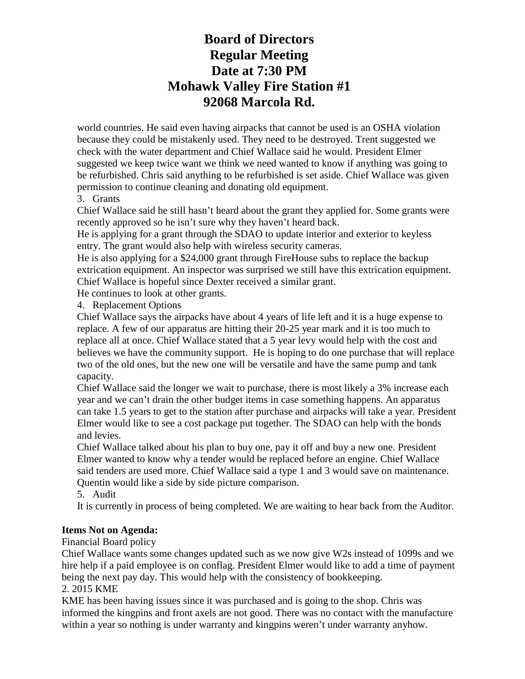world countries. He said even having airpacks that cannot be used is an OSHA violation because they could be mistakenly used. They need to be destroyed. Trent suggested we check with the water department and Chief Wallace said he would. President Elmer suggested we keep twice want we think we need wanted to know if anything was going to be refurbished. Chris said anything to be refurbished is set aside. Chief Wallace was given permission to continue cleaning and donating old equipment.

## 3. Grants

Chief Wallace said he still hasn't heard about the grant they applied for. Some grants were recently approved so he isn't sure why they haven't heard back.

He is applying for a grant through the SDAO to update interior and exterior to keyless entry. The grant would also help with wireless security cameras.

He is also applying for a \$24,000 grant through FireHouse subs to replace the backup extrication equipment. An inspector was surprised we still have this extrication equipment. Chief Wallace is hopeful since Dexter received a similar grant.

He continues to look at other grants.

4. Replacement Options

Chief Wallace says the airpacks have about 4 years of life left and it is a huge expense to replace. A few of our apparatus are hitting their 20-25 year mark and it is too much to replace all at once. Chief Wallace stated that a 5 year levy would help with the cost and believes we have the community support. He is hoping to do one purchase that will replace two of the old ones, but the new one will be versatile and have the same pump and tank capacity.

Chief Wallace said the longer we wait to purchase, there is most likely a 3% increase each year and we can't drain the other budget items in case something happens. An apparatus can take 1.5 years to get to the station after purchase and airpacks will take a year. President Elmer would like to see a cost package put together. The SDAO can help with the bonds and levies.

Chief Wallace talked about his plan to buy one, pay it off and buy a new one. President Elmer wanted to know why a tender would be replaced before an engine. Chief Wallace said tenders are used more. Chief Wallace said a type 1 and 3 would save on maintenance. Quentin would like a side by side picture comparison.

5. Audit

It is currently in process of being completed. We are waiting to hear back from the Auditor.

## **Items Not on Agenda:**

Financial Board policy

Chief Wallace wants some changes updated such as we now give W2s instead of 1099s and we hire help if a paid employee is on conflag. President Elmer would like to add a time of payment being the next pay day. This would help with the consistency of bookkeeping. 2. 2015 KME

KME has been having issues since it was purchased and is going to the shop. Chris was informed the kingpins and front axels are not good. There was no contact with the manufacture within a year so nothing is under warranty and kingpins weren't under warranty anyhow.